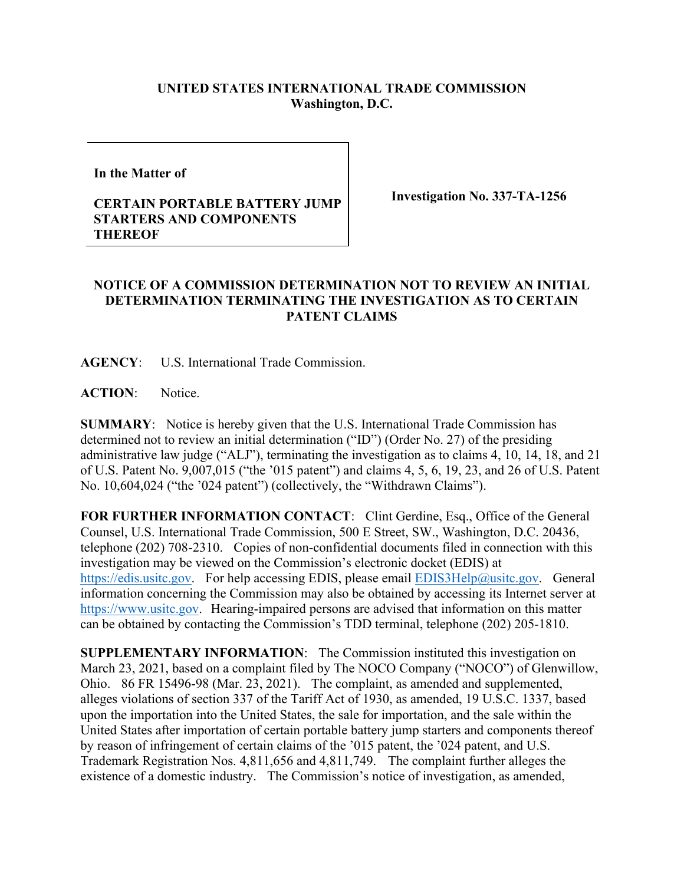## **UNITED STATES INTERNATIONAL TRADE COMMISSION Washington, D.C.**

**In the Matter of** 

## **CERTAIN PORTABLE BATTERY JUMP STARTERS AND COMPONENTS THEREOF**

**Investigation No. 337-TA-1256**

## **NOTICE OF A COMMISSION DETERMINATION NOT TO REVIEW AN INITIAL DETERMINATION TERMINATING THE INVESTIGATION AS TO CERTAIN PATENT CLAIMS**

**AGENCY**: U.S. International Trade Commission.

**ACTION**: Notice.

**SUMMARY**: Notice is hereby given that the U.S. International Trade Commission has determined not to review an initial determination ("ID") (Order No. 27) of the presiding administrative law judge ("ALJ"), terminating the investigation as to claims 4, 10, 14, 18, and 21 of U.S. Patent No. 9,007,015 ("the '015 patent") and claims 4, 5, 6, 19, 23, and 26 of U.S. Patent No. 10,604,024 ("the '024 patent") (collectively, the "Withdrawn Claims").

**FOR FURTHER INFORMATION CONTACT**: Clint Gerdine, Esq., Office of the General Counsel, U.S. International Trade Commission, 500 E Street, SW., Washington, D.C. 20436, telephone (202) 708-2310. Copies of non-confidential documents filed in connection with this investigation may be viewed on the Commission's electronic docket (EDIS) at [https://edis.usitc.gov.](https://edis.usitc.gov/) For help accessing EDIS, please email [EDIS3Help@usitc.gov.](mailto:EDIS3Help@usitc.gov) General information concerning the Commission may also be obtained by accessing its Internet server at [https://www.usitc.gov.](https://www.usitc.gov/) Hearing-impaired persons are advised that information on this matter can be obtained by contacting the Commission's TDD terminal, telephone (202) 205-1810.

**SUPPLEMENTARY INFORMATION**: The Commission instituted this investigation on March 23, 2021, based on a complaint filed by The NOCO Company ("NOCO") of Glenwillow, Ohio. 86 FR 15496-98 (Mar. 23, 2021). The complaint, as amended and supplemented, alleges violations of section 337 of the Tariff Act of 1930, as amended, 19 U.S.C. 1337, based upon the importation into the United States, the sale for importation, and the sale within the United States after importation of certain portable battery jump starters and components thereof by reason of infringement of certain claims of the '015 patent, the '024 patent, and U.S. Trademark Registration Nos. 4,811,656 and 4,811,749.The complaint further alleges the existence of a domestic industry. The Commission's notice of investigation, as amended,